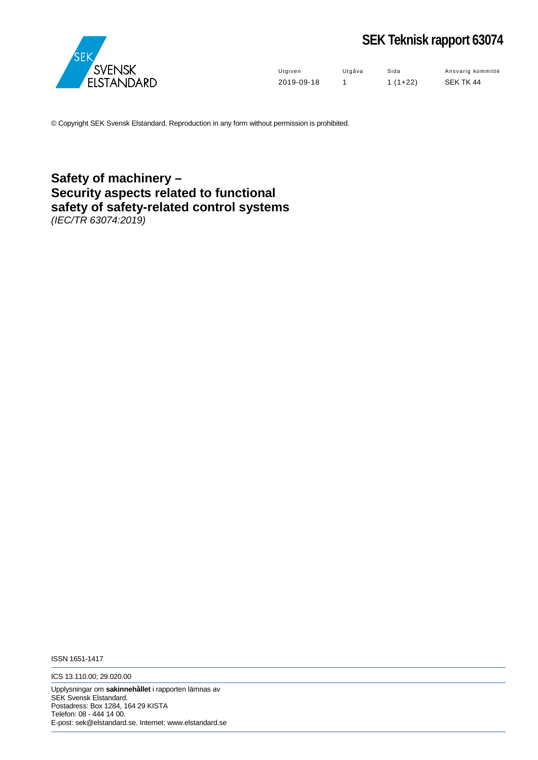

# **SEK Teknisk rapport 63074**

Utgiven 2019-09-18 Utgåva 1 Sida 1 (1+22) Ansvarig kommitté SEK TK 44

© Copyright SEK Svensk Elstandard. Reproduction in any form without permission is prohibited.

**Safety of machinery – Security aspects related to functional safety of safety-related control systems** *(IEC/TR 63074:2019)* 

ISSN 1651-1417

ICS 13.110.00; 29.020.00

Upplysningar om **sakinnehållet** i rapporten lämnas av SEK Svensk Elstandard. Postadress: Box 1284, 164 29 KISTA Telefon: 08 - 444 14 00. E-post: sek@elstandard.se. Internet: www.elstandard.se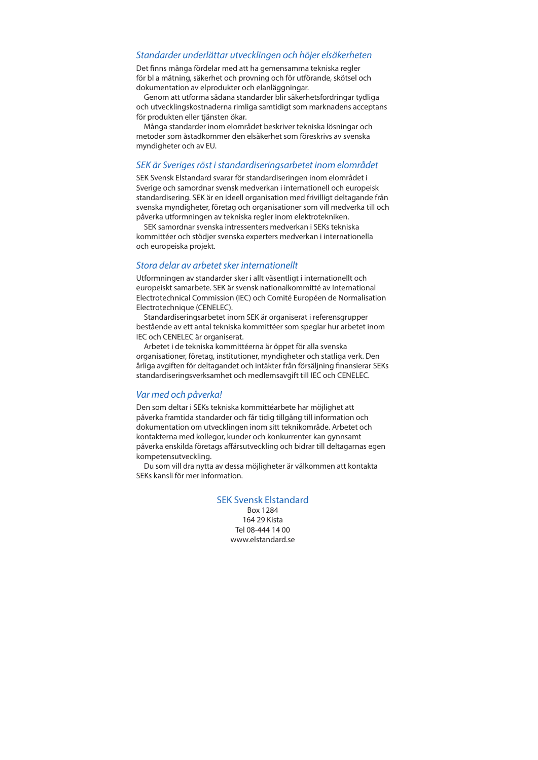#### *Standarder underlättar utvecklingen och höjer elsäkerheten*

Det finns många fördelar med att ha gemensamma tekniska regler för bl a mätning, säkerhet och provning och för utförande, skötsel och dokumentation av elprodukter och elanläggningar.

Genom att utforma sådana standarder blir säkerhetsfordringar tydliga och utvecklingskostnaderna rimliga samtidigt som marknadens acceptans för produkten eller tjänsten ökar.

Många standarder inom elområdet beskriver tekniska lösningar och metoder som åstadkommer den elsäkerhet som föreskrivs av svenska myndigheter och av EU.

#### *SEK är Sveriges röst i standardiseringsarbetet inom elområdet*

SEK Svensk Elstandard svarar för standardiseringen inom elområdet i Sverige och samordnar svensk medverkan i internationell och europeisk standardisering. SEK är en ideell organisation med frivilligt deltagande från svenska myndigheter, företag och organisationer som vill medverka till och påverka utformningen av tekniska regler inom elektrotekniken.

SEK samordnar svenska intressenters medverkan i SEKs tekniska kommittéer och stödjer svenska experters medverkan i internationella och europeiska projekt.

#### *Stora delar av arbetet sker internationellt*

Utformningen av standarder sker i allt väsentligt i internationellt och europeiskt samarbete. SEK är svensk nationalkommitté av International Electrotechnical Commission (IEC) och Comité Européen de Normalisation Electrotechnique (CENELEC).

Standardiseringsarbetet inom SEK är organiserat i referensgrupper bestående av ett antal tekniska kommittéer som speglar hur arbetet inom IEC och CENELEC är organiserat.

Arbetet i de tekniska kommittéerna är öppet för alla svenska organisationer, företag, institutioner, myndigheter och statliga verk. Den årliga avgiften för deltagandet och intäkter från försäljning finansierar SEKs standardiseringsverksamhet och medlemsavgift till IEC och CENELEC.

#### *Var med och påverka!*

Den som deltar i SEKs tekniska kommittéarbete har möjlighet att påverka framtida standarder och får tidig tillgång till information och dokumentation om utvecklingen inom sitt teknikområde. Arbetet och kontakterna med kollegor, kunder och konkurrenter kan gynnsamt påverka enskilda företags affärsutveckling och bidrar till deltagarnas egen kompetensutveckling.

Du som vill dra nytta av dessa möjligheter är välkommen att kontakta SEKs kansli för mer information.

#### SEK Svensk Elstandard

Box 1284 164 29 Kista Tel 08-444 14 00 www.elstandard.se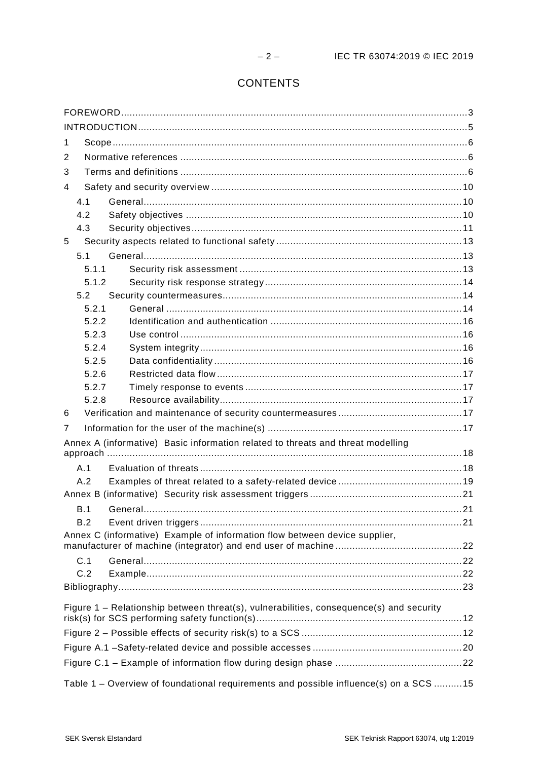# **CONTENTS**

| 1                                                                                       |  |
|-----------------------------------------------------------------------------------------|--|
| 2                                                                                       |  |
| 3                                                                                       |  |
| 4                                                                                       |  |
| 4.1                                                                                     |  |
| 4.2                                                                                     |  |
| 4.3                                                                                     |  |
| 5                                                                                       |  |
| 5.1                                                                                     |  |
| 5.1.1                                                                                   |  |
| 5.1.2                                                                                   |  |
| 5.2                                                                                     |  |
| 5.2.1                                                                                   |  |
| 5.2.2                                                                                   |  |
| 5.2.3                                                                                   |  |
| 5.2.4                                                                                   |  |
| 5.2.5                                                                                   |  |
| 5.2.6<br>5.2.7                                                                          |  |
| 5.2.8                                                                                   |  |
| 6                                                                                       |  |
| 7                                                                                       |  |
|                                                                                         |  |
| Annex A (informative) Basic information related to threats and threat modelling         |  |
| A.1                                                                                     |  |
| A.2                                                                                     |  |
|                                                                                         |  |
| B.1                                                                                     |  |
| B.2                                                                                     |  |
| Annex C (informative) Example of information flow between device supplier,              |  |
|                                                                                         |  |
| C.1                                                                                     |  |
| C.2                                                                                     |  |
|                                                                                         |  |
| Figure 1 - Relationship between threat(s), vulnerabilities, consequence(s) and security |  |
|                                                                                         |  |
|                                                                                         |  |
|                                                                                         |  |
|                                                                                         |  |
| Table 1 – Overview of foundational requirements and possible influence(s) on a SCS 15   |  |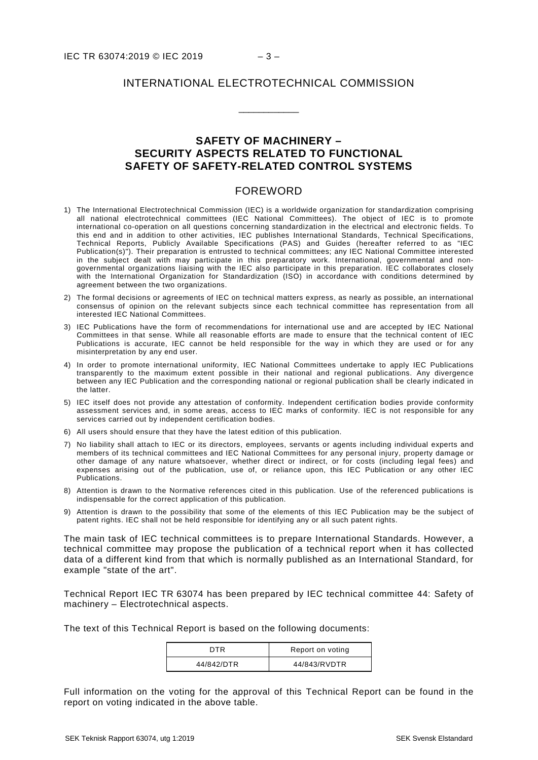#### INTERNATIONAL ELECTROTECHNICAL COMMISSION

\_\_\_\_\_\_\_\_\_\_\_\_

# **SAFETY OF MACHINERY – SECURITY ASPECTS RELATED TO FUNCTIONAL SAFETY OF SAFETY-RELATED CONTROL SYSTEMS**

## FOREWORD

- <span id="page-3-0"></span>1) The International Electrotechnical Commission (IEC) is a worldwide organization for standardization comprising all national electrotechnical committees (IEC National Committees). The object of IEC is to promote international co-operation on all questions concerning standardization in the electrical and electronic fields. To this end and in addition to other activities, IEC publishes International Standards, Technical Specifications, Technical Reports, Publicly Available Specifications (PAS) and Guides (hereafter referred to as "IEC Publication(s)"). Their preparation is entrusted to technical committees; any IEC National Committee interested in the subject dealt with may participate in this preparatory work. International, governmental and nongovernmental organizations liaising with the IEC also participate in this preparation. IEC collaborates closely with the International Organization for Standardization (ISO) in accordance with conditions determined by agreement between the two organizations.
- 2) The formal decisions or agreements of IEC on technical matters express, as nearly as possible, an international consensus of opinion on the relevant subjects since each technical committee has representation from all interested IEC National Committees.
- 3) IEC Publications have the form of recommendations for international use and are accepted by IEC National Committees in that sense. While all reasonable efforts are made to ensure that the technical content of IEC Publications is accurate, IEC cannot be held responsible for the way in which they are used or for any misinterpretation by any end user.
- 4) In order to promote international uniformity, IEC National Committees undertake to apply IEC Publications transparently to the maximum extent possible in their national and regional publications. Any divergence between any IEC Publication and the corresponding national or regional publication shall be clearly indicated in the latter.
- 5) IEC itself does not provide any attestation of conformity. Independent certification bodies provide conformity assessment services and, in some areas, access to IEC marks of conformity. IEC is not responsible for any services carried out by independent certification bodies.
- 6) All users should ensure that they have the latest edition of this publication.
- 7) No liability shall attach to IEC or its directors, employees, servants or agents including individual experts and members of its technical committees and IEC National Committees for any personal injury, property damage or other damage of any nature whatsoever, whether direct or indirect, or for costs (including legal fees) and expenses arising out of the publication, use of, or reliance upon, this IEC Publication or any other IEC Publications.
- 8) Attention is drawn to the Normative references cited in this publication. Use of the referenced publications is indispensable for the correct application of this publication.
- 9) Attention is drawn to the possibility that some of the elements of this IEC Publication may be the subject of patent rights. IEC shall not be held responsible for identifying any or all such patent rights.

The main task of IEC technical committees is to prepare International Standards. However, a technical committee may propose the publication of a technical report when it has collected data of a different kind from that which is normally published as an International Standard, for example "state of the art".

Technical Report IEC TR 63074 has been prepared by IEC technical committee 44: Safety of machinery – Electrotechnical aspects.

The text of this Technical Report is based on the following documents:

| DTR.       | Report on voting |
|------------|------------------|
| 44/842/DTR | 44/843/RVDTR     |

Full information on the voting for the approval of this Technical Report can be found in the report on voting indicated in the above table.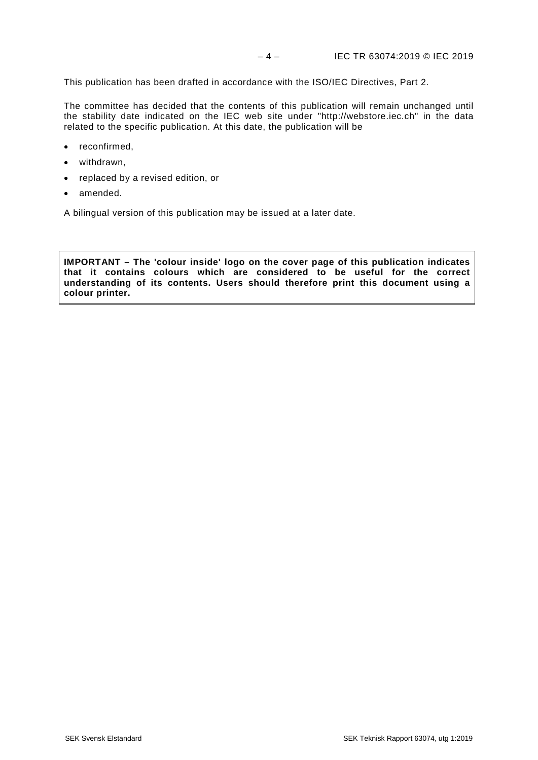This publication has been drafted in accordance with the ISO/IEC Directives, Part 2.

The committee has decided that the contents of this publication will remain unchanged until the stability date indicated on the IEC web site under "http://webstore.iec.ch" in the data related to the specific publication. At this date, the publication will be

- reconfirmed,
- withdrawn,
- replaced by a revised edition, or
- amended.

A bilingual version of this publication may be issued at a later date.

**IMPORTANT – The 'colour inside' logo on the cover page of this publication indicates that it contains colours which are considered to be useful for the correct understanding of its contents. Users should therefore print this document using a colour printer.**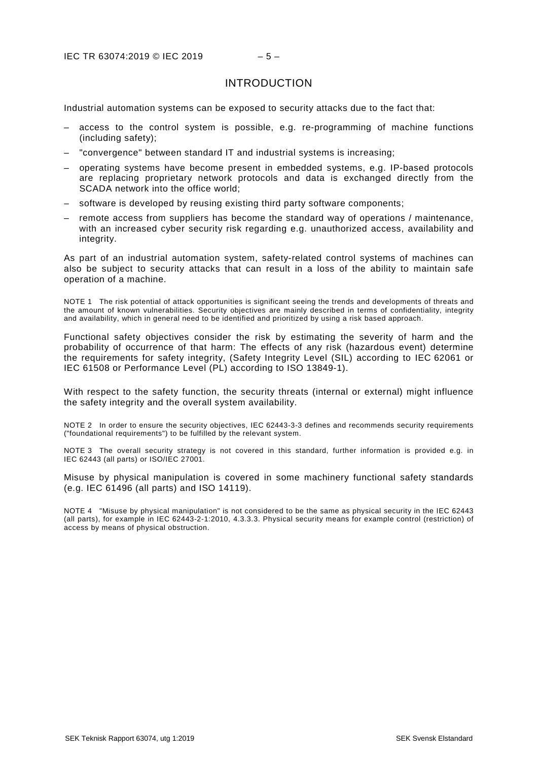### INTRODUCTION

<span id="page-5-0"></span>Industrial automation systems can be exposed to security attacks due to the fact that:

- access to the control system is possible, e.g. re-programming of machine functions (including safety);
- "convergence" between standard IT and industrial systems is increasing;
- operating systems have become present in embedded systems, e.g. IP-based protocols are replacing proprietary network protocols and data is exchanged directly from the SCADA network into the office world;
- software is developed by reusing existing third party software components;
- remote access from suppliers has become the standard way of operations / maintenance, with an increased cyber security risk regarding e.g. unauthorized access, availability and integrity.

As part of an industrial automation system, safety-related control systems of machines can also be subject to security attacks that can result in a loss of the ability to maintain safe operation of a machine.

NOTE 1 The risk potential of attack opportunities is significant seeing the trends and developments of threats and the amount of known vulnerabilities. Security objectives are mainly described in terms of confidentiality, integrity and availability, which in general need to be identified and prioritized by using a risk based approach.

Functional safety objectives consider the risk by estimating the severity of harm and the probability of occurrence of that harm: The effects of any risk (hazardous event) determine the requirements for safety integrity, (Safety Integrity Level (SIL) according to IEC 62061 or IEC 61508 or Performance Level (PL) according to ISO 13849-1).

With respect to the safety function, the security threats (internal or external) might influence the safety integrity and the overall system availability.

NOTE 2 In order to ensure the security objectives, IEC 62443-3-3 defines and recommends security requirements ("foundational requirements") to be fulfilled by the relevant system.

NOTE 3 The overall security strategy is not covered in this standard, further information is provided e.g. in IEC 62443 (all parts) or ISO/IEC 27001.

Misuse by physical manipulation is covered in some machinery functional safety standards (e.g. IEC 61496 (all parts) and ISO 14119).

NOTE 4 "Misuse by physical manipulation" is not considered to be the same as physical security in the IEC 62443 (all parts), for example in IEC 62443-2-1:2010, 4.3.3.3. Physical security means for example control (restriction) of access by means of physical obstruction.